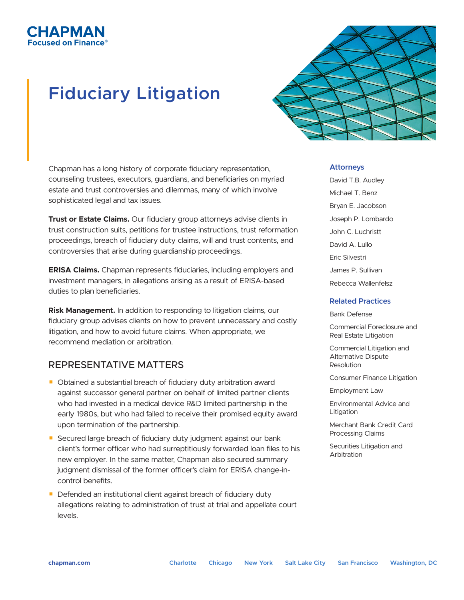## СНАРМАН ised on Finance

# **Fiduciary Litigation**

Chapman has a long history of corporate fiduciary representation, counseling trustees, executors, guardians, and beneficiaries on myriad estate and trust controversies and dilemmas, many of which involve sophisticated legal and tax issues.

**Trust or Estate Claims.** Our fiduciary group attorneys advise clients in trust construction suits, petitions for trustee instructions, trust reformation proceedings, breach of fiduciary duty claims, will and trust contents, and controversies that arise during guardianship proceedings.

**ERISA Claims.** Chapman represents fiduciaries, including employers and investment managers, in allegations arising as a result of ERISA-based duties to plan beneficiaries.

**Risk Management.** In addition to responding to litigation claims, our fiduciary group advises clients on how to prevent unnecessary and costly litigation, and how to avoid future claims. When appropriate, we recommend mediation or arbitration.

## REPRESENTATIVE MATTERS

- Obtained a substantial breach of fiduciary duty arbitration award against successor general partner on behalf of limited partner clients who had invested in a medical device R&D limited partnership in the early 1980s, but who had failed to receive their promised equity award upon termination of the partnership.
- Secured large breach of fiduciary duty judgment against our bank client's former officer who had surreptitiously forwarded loan files to his new employer. In the same matter, Chapman also secured summary judgment dismissal of the former officer's claim for ERISA change-incontrol benefits.
- Defended an institutional client against breach of fiduciary duty allegations relating to administration of trust at trial and appellate court levels.



### **Attorneys**

David T.B. Audley Michael T. Benz Bryan E. Jacobson Joseph P. Lombardo John C. Luchristt David A. Lullo Eric Silvestri James P. Sullivan Rebecca Wallenfelsz

### **Related Practices**

Bank Defense

Commercial Foreclosure and Real Estate Litigation

Commercial Litigation and Alternative Dispute Resolution

Consumer Finance Litigation

Employment Law

Environmental Advice and Litigation

Merchant Bank Credit Card Processing Claims

Securities Litigation and Arbitration